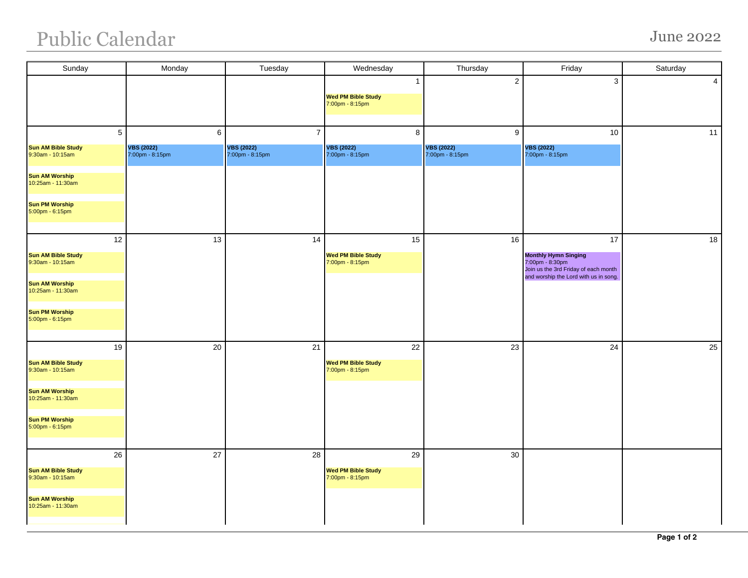## Public Calendar June 2022

| Sunday                                                 | Monday                                    | Tuesday                                                | Wednesday                                                    | Thursday                                  | Friday                                                                                       | Saturday |
|--------------------------------------------------------|-------------------------------------------|--------------------------------------------------------|--------------------------------------------------------------|-------------------------------------------|----------------------------------------------------------------------------------------------|----------|
|                                                        |                                           |                                                        | $\mathbf{1}$<br><b>Wed PM Bible Study</b><br>7:00pm - 8:15pm | $\sqrt{2}$                                | $\mathbf{3}$                                                                                 | 4        |
| 5<br><b>Sun AM Bible Study</b><br>$9:30$ am - 10:15am  | 6<br><b>VBS (2022)</b><br>7:00pm - 8:15pm | $\overline{7}$<br><b>VBS (2022)</b><br>7:00pm - 8:15pm | $\bf8$<br><b>VBS (2022)</b><br>7:00pm - 8:15pm               | 9<br><b>VBS (2022)</b><br>7:00pm - 8:15pm | 10<br><b>VBS (2022)</b><br>$7:00 \text{pm} - 8:15 \text{pm}$                                 | 11       |
| <b>Sun AM Worship</b><br>10:25am - 11:30am             |                                           |                                                        |                                                              |                                           |                                                                                              |          |
| <b>Sun PM Worship</b><br>5:00pm - 6:15pm               |                                           |                                                        |                                                              |                                           |                                                                                              |          |
| 12<br><b>Sun AM Bible Study</b><br>$9:30$ am - 10:15am | 13                                        | 14                                                     | 15<br><b>Wed PM Bible Study</b><br>7:00pm - 8:15pm           | 16                                        | 17<br><b>Monthly Hymn Singing</b><br>7:00pm - 8:30pm<br>Join us the 3rd Friday of each month | 18       |
| <b>Sun AM Worship</b><br>10:25am - 11:30am             |                                           |                                                        |                                                              |                                           | and worship the Lord with us in song.                                                        |          |
| <b>Sun PM Worship</b><br>5:00pm - 6:15pm               |                                           |                                                        |                                                              |                                           |                                                                                              |          |
| 19<br><b>Sun AM Bible Study</b><br>$9:30$ am - 10:15am | 20                                        | 21                                                     | 22<br><b>Wed PM Bible Study</b><br>7:00pm - 8:15pm           | 23                                        | 24                                                                                           | 25       |
| <b>Sun AM Worship</b><br>10:25am - 11:30am             |                                           |                                                        |                                                              |                                           |                                                                                              |          |
| <b>Sun PM Worship</b><br>5:00pm - 6:15pm               |                                           |                                                        |                                                              |                                           |                                                                                              |          |
| 26<br><b>Sun AM Bible Study</b><br>9:30am - 10:15am    | 27                                        | 28                                                     | 29<br><b>Wed PM Bible Study</b><br>7:00pm - 8:15pm           | 30                                        |                                                                                              |          |
| <b>Sun AM Worship</b><br>10:25am - 11:30am             |                                           |                                                        |                                                              |                                           |                                                                                              |          |